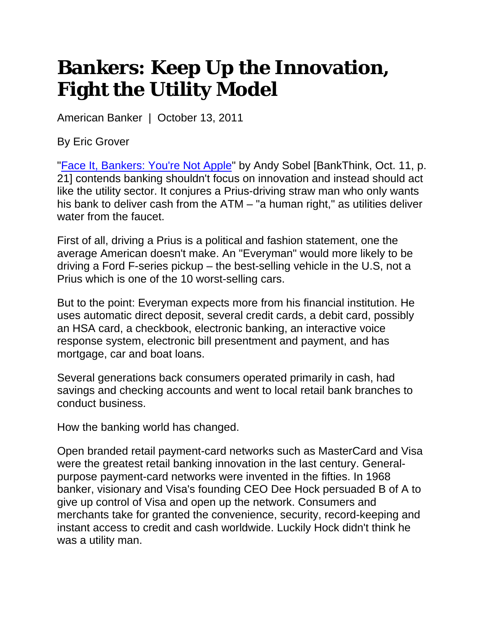## **Bankers: Keep Up the Innovation, Fight the Utility Model**

American Banker | October 13, 2011

By Eric Grover

"Face It, Bankers: You're Not Apple" by Andy Sobel [BankThink, Oct. 11, p. 21] contends banking shouldn't focus on innovation and instead should act like the utility sector. It conjures a Prius-driving straw man who only wants his bank to deliver cash from the ATM – "a human right," as utilities deliver water from the faucet.

First of all, driving a Prius is a political and fashion statement, one the average American doesn't make. An "Everyman" would more likely to be driving a Ford F-series pickup – the best-selling vehicle in the U.S, not a Prius which is one of the 10 worst-selling cars.

But to the point: Everyman expects more from his financial institution. He uses automatic direct deposit, several credit cards, a debit card, possibly an HSA card, a checkbook, electronic banking, an interactive voice response system, electronic bill presentment and payment, and has mortgage, car and boat loans.

Several generations back consumers operated primarily in cash, had savings and checking accounts and went to local retail bank branches to conduct business.

How the banking world has changed.

Open branded retail payment-card networks such as MasterCard and Visa were the greatest retail banking innovation in the last century. Generalpurpose payment-card networks were invented in the fifties. In 1968 banker, visionary and Visa's founding CEO Dee Hock persuaded B of A to give up control of Visa and open up the network. Consumers and merchants take for granted the convenience, security, record-keeping and instant access to credit and cash worldwide. Luckily Hock didn't think he was a utility man.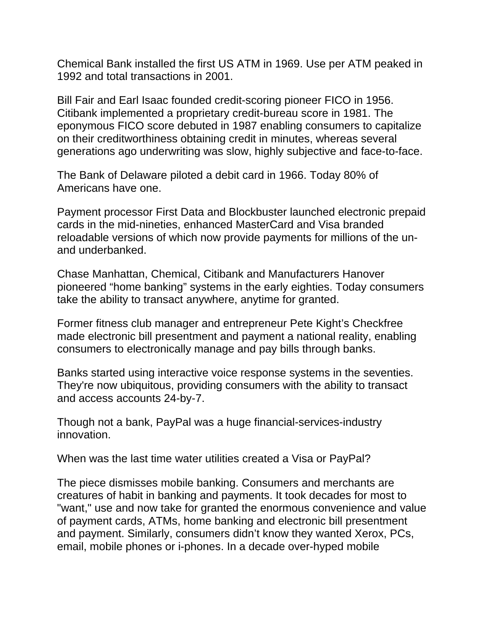Chemical Bank installed the first US ATM in 1969. Use per ATM peaked in 1992 and total transactions in 2001.

Bill Fair and Earl Isaac founded credit-scoring pioneer FICO in 1956. Citibank implemented a proprietary credit-bureau score in 1981. The eponymous FICO score debuted in 1987 enabling consumers to capitalize on their creditworthiness obtaining credit in minutes, whereas several generations ago underwriting was slow, highly subjective and face-to-face.

The Bank of Delaware piloted a debit card in 1966. Today 80% of Americans have one.

Payment processor First Data and Blockbuster launched electronic prepaid cards in the mid-nineties, enhanced MasterCard and Visa branded reloadable versions of which now provide payments for millions of the unand underbanked.

Chase Manhattan, Chemical, Citibank and Manufacturers Hanover pioneered "home banking" systems in the early eighties. Today consumers take the ability to transact anywhere, anytime for granted.

Former fitness club manager and entrepreneur Pete Kight's Checkfree made electronic bill presentment and payment a national reality, enabling consumers to electronically manage and pay bills through banks.

Banks started using interactive voice response systems in the seventies. They're now ubiquitous, providing consumers with the ability to transact and access accounts 24-by-7.

Though not a bank, PayPal was a huge financial-services-industry innovation.

When was the last time water utilities created a Visa or PayPal?

The piece dismisses mobile banking. Consumers and merchants are creatures of habit in banking and payments. It took decades for most to "want," use and now take for granted the enormous convenience and value of payment cards, ATMs, home banking and electronic bill presentment and payment. Similarly, consumers didn't know they wanted Xerox, PCs, email, mobile phones or i-phones. In a decade over-hyped mobile